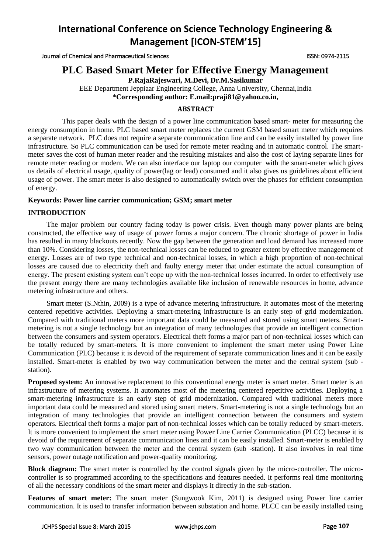Journal of Chemical and Pharmaceutical Sciences ISSN: 0974-2115

## **PLC Based Smart Meter for Effective Energy Management**

**P.RajaRajeswari, M.Devi, Dr.M.Sasikumar**

EEE Department Jeppiaar Engineering College, Anna University, Chennai,India **\*Corresponding author: E.mail[:praji81@yahoo.co.in,](mailto:praji81@yahoo.co.in)**

#### **ABSTRACT**

This paper deals with the design of a power line communication based smart- meter for measuring the energy consumption in home. PLC based smart meter replaces the current GSM based smart meter which requires a separate network. PLC does not require a separate communication line and can be easily installed by power line infrastructure. So PLC communication can be used for remote meter reading and in automatic control. The smartmeter saves the cost of human meter reader and the resulting mistakes and also the cost of laying separate lines for remote meter reading or modem. We can also interface our laptop our computer with the smart-meter which gives us details of electrical usage, quality of power(lag or lead) consumed and it also gives us guidelines about efficient usage of power. The smart meter is also designed to automatically switch over the phases for efficient consumption of energy.

#### **Keywords: Power line carrier communication; GSM; smart meter**

#### **INTRODUCTION**

The major problem our country facing today is power crisis. Even though many power plants are being constructed, the effective way of usage of power forms a major concern. The chronic shortage of power in India has resulted in many blackouts recently. Now the gap between the generation and load demand has increased more than 10%. Considering losses, the non-technical losses can be reduced to greater extent by effective management of energy. Losses are of two type technical and non-technical losses, in which a high proportion of non-technical losses are caused due to electricity theft and faulty energy meter that under estimate the actual consumption of energy. The present existing system can't cope up with the non-technical losses incurred. In order to effectively use the present energy there are many technologies available like inclusion of renewable resources in home, advance metering infrastructure and others.

Smart meter (S.Nthin, 2009) is a type of advance metering infrastructure. It automates most of the metering centered repetitive activities. Deploying a smart-metering infrastructure is an early step of grid modernization. Compared with traditional meters more important data could be measured and stored using smart meters. Smartmetering is not a single technology but an integration of many technologies that provide an intelligent connection between the consumers and system operators. Electrical theft forms a major part of non-technical losses which can be totally reduced by smart-meters. It is more convenient to implement the smart meter using Power Line Communication (PLC) because it is devoid of the requirement of separate communication lines and it can be easily installed. Smart-meter is enabled by two way communication between the meter and the central system (sub station).

**Proposed system:** An innovative replacement to this conventional energy meter is smart meter. Smart meter is an infrastructure of metering systems. It automates most of the metering centered repetitive activities. Deploying a smart-metering infrastructure is an early step of grid modernization. Compared with traditional meters more important data could be measured and stored using smart meters. Smart-metering is not a single technology but an integration of many technologies that provide an intelligent connection between the consumers and system operators. Electrical theft forms a major part of non-technical losses which can be totally reduced by smart-meters. It is more convenient to implement the smart meter using Power Line Carrier Communication (PLCC) because it is devoid of the requirement of separate communication lines and it can be easily installed. Smart-meter is enabled by two way communication between the meter and the central system (sub -station). It also involves in real time sensors, power outage notification and power-quality monitoring.

**Block diagram:** The smart meter is controlled by the control signals given by the micro-controller. The microcontroller is so programmed according to the specifications and features needed. It performs real time monitoring of all the necessary conditions of the smart meter and displays it directly in the sub-station.

**Features of smart meter:** The smart meter (Sungwook Kim, 2011) is designed using Power line carrier communication. It is used to transfer information between substation and home. PLCC can be easily installed using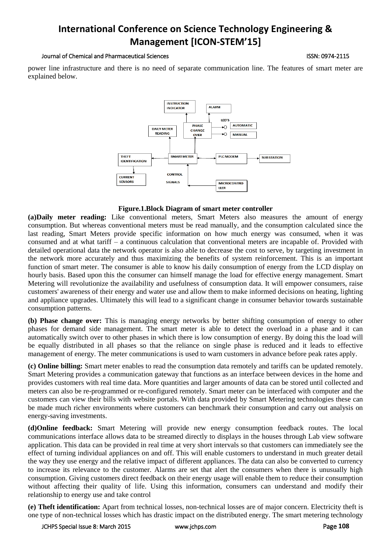#### Journal of Chemical and Pharmaceutical Sciences ISSN: 0974-2115

power line infrastructure and there is no need of separate communication line. The features of smart meter are explained below.



#### **Figure.1.Block Diagram of smart meter controller**

**(a)Daily meter reading:** Like conventional meters, Smart Meters also measures the amount of energy consumption. But whereas conventional meters must be read manually, and the consumption calculated since the last reading, Smart Meters provide specific information on how much energy was consumed, when it was consumed and at what tariff – a continuous calculation that conventional meters are incapable of. Provided with detailed operational data the network operator is also able to decrease the cost to serve, by targeting investment in the network more accurately and thus maximizing the benefits of system reinforcement. This is an important function of smart meter. The consumer is able to know his daily consumption of energy from the LCD display on hourly basis. Based upon this the consumer can himself manage the load for effective energy management. Smart Metering will revolutionize the availability and usefulness of consumption data. It will empower consumers, raise customers' awareness of their energy and water use and allow them to make informed decisions on heating, lighting and appliance upgrades. Ultimately this will lead to a significant change in consumer behavior towards sustainable consumption patterns.

**(b) Phase change over:** This is managing energy networks by better shifting consumption of energy to other phases for demand side management. The smart meter is able to detect the overload in a phase and it can automatically switch over to other phases in which there is low consumption of energy. By doing this the load will be equally distributed in all phases so that the reliance on single phase is reduced and it leads to effective management of energy. The meter communications is used to warn customers in advance before peak rates apply.

**(c) Online billing:** Smart meter enables to read the consumption data remotely and tariffs can be updated remotely. Smart Metering provides a communication gateway that functions as an interface between devices in the home and provides customers with real time data. More quantities and larger amounts of data can be stored until collected and meters can also be re-programmed or re-configured remotely. Smart meter can be interfaced with computer and the customers can view their bills with website portals. With data provided by Smart Metering technologies these can be made much richer environments where customers can benchmark their consumption and carry out analysis on energy-saving investments.

**(d)Online feedback:** Smart Metering will provide new energy consumption feedback routes. The local communications interface allows data to be streamed directly to displays in the houses through Lab view software application. This data can be provided in real time at very short intervals so that customers can immediately see the effect of turning individual appliances on and off. This will enable customers to understand in much greater detail the way they use energy and the relative impact of different appliances. The data can also be converted to currency to increase its relevance to the customer. Alarms are set that alert the consumers when there is unusually high consumption. Giving customers direct feedback on their energy usage will enable them to reduce their consumption without affecting their quality of life. Using this information, consumers can understand and modify their relationship to energy use and take control

**(e) Theft identification:** Apart from technical losses, non-technical losses are of major concern. Electricity theft is one type of non-technical losses which has drastic impact on the distributed energy. The smart metering technology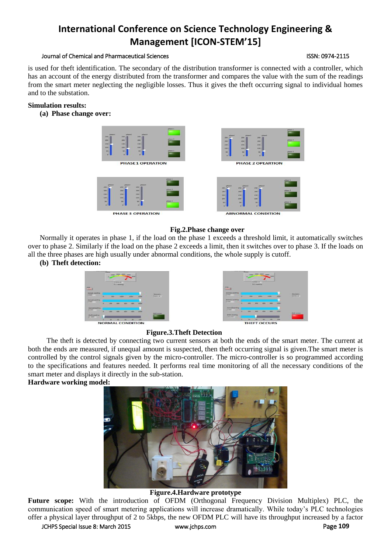#### Journal of Chemical and Pharmaceutical Sciences ISSN: 0974-2115

is used for theft identification. The secondary of the distribution transformer is connected with a controller, which has an account of the energy distributed from the transformer and compares the value with the sum of the readings from the smart meter neglecting the negligible losses. Thus it gives the theft occurring signal to individual homes and to the substation.

#### **Simulation results:**

**(a) Phase change over:**



### **Fig.2.Phase change over**

Normally it operates in phase 1, if the load on the phase 1 exceeds a threshold limit, it automatically switches over to phase 2. Similarly if the load on the phase 2 exceeds a limit, then it switches over to phase 3. If the loads on all the three phases are high usually under abnormal conditions, the whole supply is cutoff.

### **(b) Theft detection:**





#### **Figure.3.Theft Detection**

The theft is detected by connecting two current sensors at both the ends of the smart meter. The current at both the ends are measured, if unequal amount is suspected, then theft occurring signal is given.The smart meter is controlled by the control signals given by the micro-controller. The micro-controller is so programmed according to the specifications and features needed. It performs real time monitoring of all the necessary conditions of the smart meter and displays it directly in the sub-station.

#### **Hardware working model:**



#### **Figure.4.Hardware prototype**

**Future scope:** With the introduction of OFDM (Orthogonal Frequency Division Multiplex) PLC, the communication speed of smart metering applications will increase dramatically. While today's PLC technologies offer a physical layer throughput of 2 to 5kbps, the new OFDM PLC will have its throughput increased by a factor

JCHPS Special Issue 8: March 2015 [www.jchps.com](http://www.jchps.com/) Page **109**